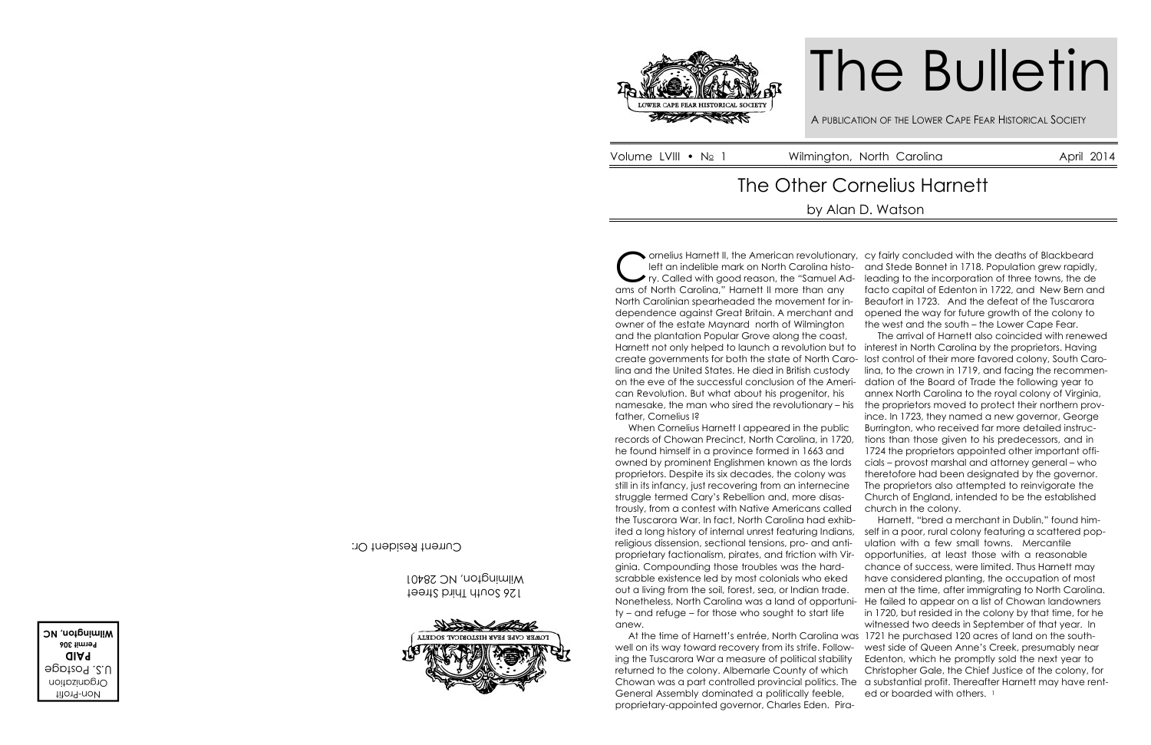

Cornelius Harnett II, the American revolution<br>
left an indelible mark on North Carolina hist<br>
ry. Called with good reason, the "Samuel A<br>
ams of North Carolina," Harnett II more than any ornelius Harnett II, the American revolutionary, cy fairly concluded with the deaths of Blackbeard left an indelible mark on North Carolina history. Called with good reason, the "Samuel Ad-Harnett not only helped to launch a revolution but to interest in North Carolina by the proprietors. Having on the eve of the successful conclusion of the Ameri-dation of the Board of Trade the following year to When Cornelius Harnett I appeared in the public ited a long history of internal unrest featuring Indians, self in a poor, rural colony featuring a scattered pop-Nonetheless, North Carolina was a land of opportuni-He failed to appear on a list of Chowan landowners At the time of Harnett's entrée, North Carolina was 1721 he purchased 120 acres of land on the southwell on its way toward recovery from its strife. Follow-west side of Queen Anne's Creek, presumably near Chowan was a part controlled provincial politics. The a substantial profit. Thereafter Harnett may have rentand Stede Bonnet in 1718. Population grew rapidly, leading to the incorporation of three towns, the de facto capital of Edenton in 1722, and New Bern and Beaufort in 1723. And the defeat of the Tuscarora opened the way for future growth of the colony to the west and the south – the Lower Cape Fear. The arrival of Harnett also coincided with renewed lost control of their more favored colony, South Carolina, to the crown in 1719, and facing the recommenannex North Carolina to the royal colony of Virginia, the proprietors moved to protect their northern province. In 1723, they named a new governor, George Burrington, who received far more detailed instructions than those given to his predecessors, and in 1724 the proprietors appointed other important officials – provost marshal and attorney general – who theretofore had been designated by the governor. The proprietors also attempted to reinvigorate the Church of England, intended to be the established church in the colony. Harnett, "bred a merchant in Dublin," found himulation with a few small towns. Mercantile opportunities, at least those with a reasonable chance of success, were limited. Thus Harnett may have considered planting, the occupation of most men at the time, after immigrating to North Carolina. in 1720, but resided in the colony by that time, for he witnessed two deeds in September of that year. In Edenton, which he promptly sold the next year to Christopher Gale, the Chief Justice of the colony, for ed or boarded with others.<sup>1</sup>

# The Bulletin

A PUBLICATION OF THE LOWER CAPE FEAR HISTORICAL SOCIETY<br>
Wilmington, North Carolina April 2014

North Carolinian spearheaded the movement for independence against Great Britain. A merchant and owner of the estate Maynard north of Wilmington and the plantation Popular Grove along the coast, create governments for both the state of North Carolina and the United States. He died in British custody can Revolution. But what about his progenitor, his namesake, the man who sired the revolutionary – his father, Cornelius I? records of Chowan Precinct, North Carolina, in 1720, he found himself in a province formed in 1663 and owned by prominent Englishmen known as the lords proprietors. Despite its six decades, the colony was still in its infancy, just recovering from an internecine struggle termed Cary's Rebellion and, more disastrously, from a contest with Native Americans called the Tuscarora War. In fact, North Carolina had exhibreligious dissension, sectional tensions, pro- and antiproprietary factionalism, pirates, and friction with Virginia. Compounding those troubles was the hardscrabble existence led by most colonials who eked out a living from the soil, forest, sea, or Indian trade. ty – and refuge – for those who sought to start life anew. ing the Tuscarora War a measure of political stability returned to the colony. Albemarle County of which General Assembly dominated a politically feeble,

proprietary-appointed governor, Charles Eden. Pira-

# The Other Cornelius Harnett

Non-Profit Organization U.S. Postage **PAID Permit 306 Wilmington, NC**

126 South Third Street Wilmington, NC 28401



Current Resident Or:

# by Alan D. Watson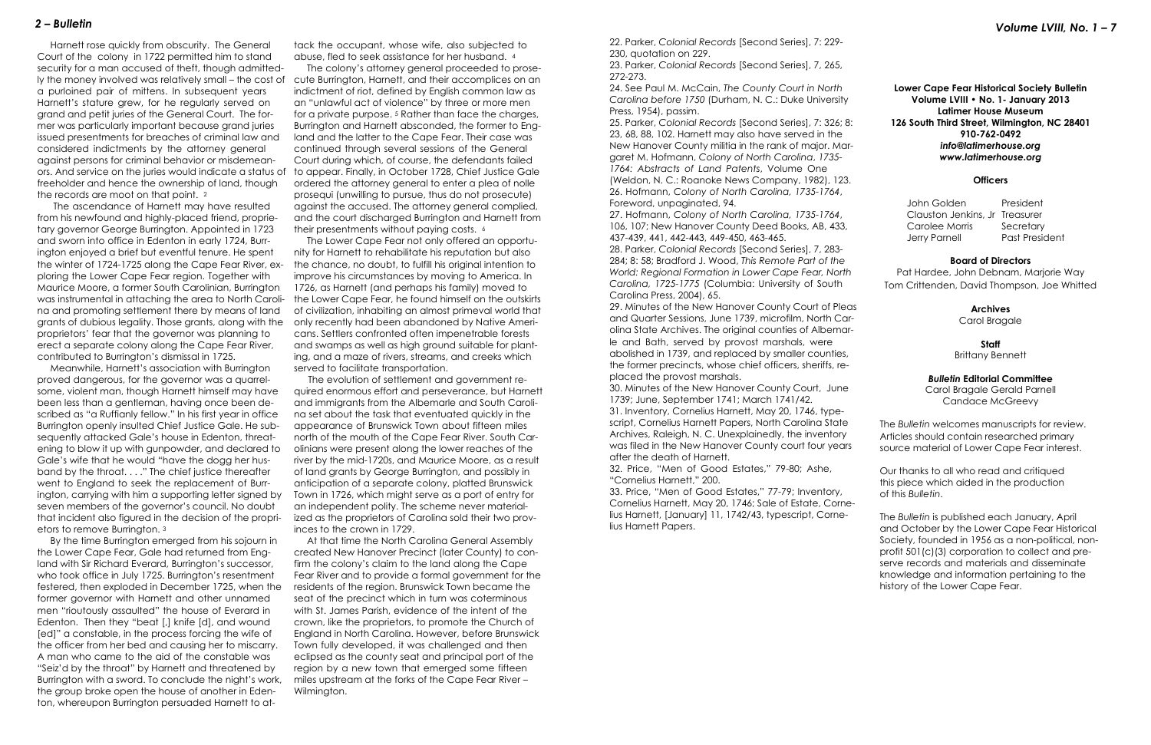Harnett rose quickly from obscurity. The General Court of the colony in 1722 permitted him to stand security for a man accused of theft, though admittedly the money involved was relatively small – the cost of a purloined pair of mittens. In subsequent years Harnett's stature grew, for he regularly served on grand and petit juries of the General Court. The former was particularly important because grand juries issued presentments for breaches of criminal law and considered indictments by the attorney general against persons for criminal behavior or misdemeanors. And service on the juries would indicate a status of freeholder and hence the ownership of land, though the records are moot on that point. <sup>2</sup>

 The ascendance of Harnett may have resulted from his newfound and highly-placed friend, proprietary governor George Burrington. Appointed in 1723 and sworn into office in Edenton in early 1724, Burrington enjoyed a brief but eventful tenure. He spent the winter of 1724-1725 along the Cape Fear River, exploring the Lower Cape Fear region. Together with Maurice Moore, a former South Carolinian, Burrington was instrumental in attaching the area to North Carolina and promoting settlement there by means of land grants of dubious legality. Those grants, along with the proprietors' fear that the governor was planning to erect a separate colony along the Cape Fear River, contributed to Burrington's dismissal in 1725.

 The colony's attorney general proceeded to prosecute Burrington, Harnett, and their accomplices on an indictment of riot, defined by English common law as an "unlawful act of violence" by three or more men for a private purpose. <sup>5</sup> Rather than face the charges, Burrington and Harnett absconded, the former to England and the latter to the Cape Fear. Their case was continued through several sessions of the General Court during which, of course, the defendants failed to appear. Finally, in October 1728, Chief Justice Gale ordered the attorney general to enter a plea of nolle prosequi (unwilling to pursue, thus do not prosecute) against the accused. The attorney general complied, and the court discharged Burrington and Harnett from their presentments without paying costs. 6

 Meanwhile, Harnett's association with Burrington proved dangerous, for the governor was a quarrelsome, violent man, though Harnett himself may have been less than a gentleman, having once been described as "a Ruffianly fellow." In his first year in office Burrington openly insulted Chief Justice Gale. He subsequently attacked Gale's house in Edenton, threatening to blow it up with gunpowder, and declared to Gale's wife that he would "have the dogg her husband by the throat. . . ." The chief justice thereafter went to England to seek the replacement of Burrington, carrying with him a supporting letter signed by seven members of the governor's council. No doubt that incident also figured in the decision of the proprietors to remove Burrington. <sup>3</sup>

 By the time Burrington emerged from his sojourn in the Lower Cape Fear, Gale had returned from England with Sir Richard Everard, Burrington's successor, who took office in July 1725. Burrington's resentment festered, then exploded in December 1725, when the former governor with Harnett and other unnamed men "rioutously assaulted" the house of Everard in Edenton. Then they "beat [,] knife [d], and wound [ed]" a constable, in the process forcing the wife of the officer from her bed and causing her to miscarry. A man who came to the aid of the constable was "Seiz'd by the throat" by Harnett and threatened by Burrington with a sword. To conclude the night's work, the group broke open the house of another in Edenton, whereupon Burrington persuaded Harnett to attack the occupant, whose wife, also subjected to abuse, fled to seek assistance for her husband. <sup>4</sup>

> 29. Minutes of the New Hanover County Court of Ple and Quarter Sessions, June 1739, microfilm, North Ca olina State Archives. The original counties of Albema le and Bath, served by provost marshals, were abolished in 1739, and replaced by smaller counties, the former precincts, whose chief officers, sheriffs, replaced the provost marshals.

 The Lower Cape Fear not only offered an opportunity for Harnett to rehabilitate his reputation but also the chance, no doubt, to fulfill his original intention to improve his circumstances by moving to America. In 1726, as Harnett (and perhaps his family) moved to the Lower Cape Fear, he found himself on the outskirts of civilization, inhabiting an almost primeval world that only recently had been abandoned by Native Americans. Settlers confronted often impenetrable forests and swamps as well as high ground suitable for planting, and a maze of rivers, streams, and creeks which served to facilitate transportation.

 The evolution of settlement and government required enormous effort and perseverance, but Harnett and immigrants from the Albemarle and South Carolina set about the task that eventuated quickly in the appearance of Brunswick Town about fifteen miles north of the mouth of the Cape Fear River. South Carolinians were present along the lower reaches of the river by the mid-1720s, and Maurice Moore, as a result of land grants by George Burrington, and possibly in anticipation of a separate colony, platted Brunswick Town in 1726, which might serve as a port of entry for an independent polity. The scheme never materialized as the proprietors of Carolina sold their two provinces to the crown in 1729.

 At that time the North Carolina General Assembly created New Hanover Precinct (later County) to confirm the colony's claim to the land along the Cape Fear River and to provide a formal government for the residents of the region. Brunswick Town became the seat of the precinct which in turn was coterminous with St. James Parish, evidence of the intent of the crown, like the proprietors, to promote the Church of England in North Carolina. However, before Brunswick Town fully developed, it was challenged and then eclipsed as the county seat and principal port of the region by a new town that emerged some fifteen miles upstream at the forks of the Cape Fear River – Wilmington.

22. Parker, *Colonial Records* [Second Series], 7: 229- 230, quotation on 229.

23. Parker, *Colonial Records* [Second Series], 7, 265, 272-273.

24. See Paul M. McCain, *The County Court in North Carolina before 1750* (Durham, N. C.: Duke University Press, 1954), passim.

25. Parker, *Colonial Records* [Second Series], 7: 326; 8: 23, 68, 88, 102. Harnett may also have served in the New Hanover County militia in the rank of major. Ma garet M. Hofmann, *Colony of North Carolina*, *1735- 1764: Abstracts of Land Patents*, Volume One

(Weldon, N. C.: Roanoke News Company, 1982), 123. 26. Hofmann, *Colony of North Carolina, 1735-1764*, Foreword, unpaginated, 94.

27. Hofmann, *Colony of North Carolina, 1735-1764*, 106, 107; New Hanover County Deed Books, AB, 433, 437-439, 441, 442-443, 449-450, 463-465.

28. Parker, *Colonial Records* [Second Series], 7, 283- 284; 8: 58; Bradford J. Wood, *This Remote Part of the World: Regional Formation in Lower Cape Fear, North Carolina, 1725-1775* (Columbia: University of South Carolina Press, 2004), 65.

30. Minutes of the New Hanover County Court, June 1739; June, September 1741; March 1741/42.

31. Inventory, Cornelius Harnett, May 20, 1746, typescript, Cornelius Harnett Papers, North Carolina State Archives, Raleigh, N. C. Unexplainedly, the inventory was filed in the New Hanover County court four year after the death of Harnett.

32. Price, "Men of Good Estates," 79-80; Ashe, "Cornelius Harnett," 200.

33. Price, "Men of Good Estates," 77-79; Inventory, Cornelius Harnett, May 20, 1746; Sale of Estate, Cornelius Harnett, [January] 11, 1742/43, typescript, Cornelius Harnett Papers.

| y                              | <b>Lower Cape Fear Historical Society Bulletin</b><br>Volume LVIII . No. 1- January 2013<br><b>Latimer House Museum</b>                                                                                                                                                                                                                  |
|--------------------------------|------------------------------------------------------------------------------------------------------------------------------------------------------------------------------------------------------------------------------------------------------------------------------------------------------------------------------------------|
| 8:                             | 126 South Third Street, Wilmington, NC 28401<br>910-762-0492                                                                                                                                                                                                                                                                             |
| ar-                            | info@latimerhouse.org<br>www.latimerhouse.org                                                                                                                                                                                                                                                                                            |
| 3.                             | <b>Officers</b>                                                                                                                                                                                                                                                                                                                          |
| $\overline{\phantom{a}}$       | President<br>John Golden<br>Clauston Jenkins, Jr Treasurer<br>Carolee Morris<br>Secretary<br>Past President<br>Jerry Parnell                                                                                                                                                                                                             |
| 'n                             | <b>Board of Directors</b><br>Pat Hardee, John Debnam, Marjorie Way<br>Tom Crittenden, David Thompson, Joe Whitted                                                                                                                                                                                                                        |
| eas<br>ar-<br>Jr-              | <b>Archives</b><br>Carol Bragale                                                                                                                                                                                                                                                                                                         |
| ,<br>$\cdot$                   | Staff<br><b>Brittany Bennett</b>                                                                                                                                                                                                                                                                                                         |
| Э                              | <b>Bulletin Editorial Committee</b><br>Carol Bragale Gerald Parnell<br>Candace McGreevy                                                                                                                                                                                                                                                  |
| $\overline{\phantom{a}}$<br>rs | The Bulletin welcomes manuscripts for review.<br>Articles should contain researched primary<br>source material of Lower Cape Fear interest.                                                                                                                                                                                              |
|                                | Our thanks to all who read and critiqued<br>this piece which aided in the production<br>of this Bulletin.                                                                                                                                                                                                                                |
|                                | The Bulletin is published each January, April<br>and October by the Lower Cape Fear Historical<br>Society, founded in 1956 as a non-political, non-<br>profit 501(c)(3) corporation to collect and pre-<br>serve records and materials and disseminate<br>knowledge and information pertaining to the<br>history of the Lower Cape Fear. |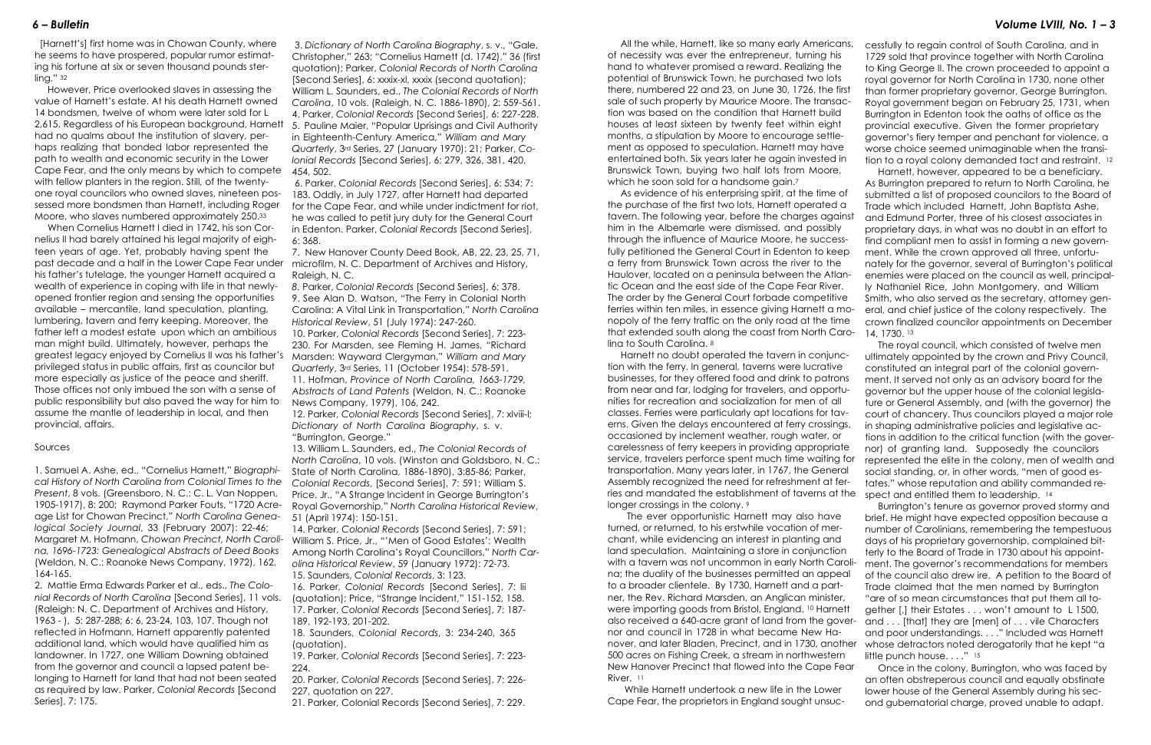As evidence of his enterprising spirit, at the time of the purchase of the first two lots, Harnett operated a tavern. The following year, before the charges against him in the Albemarle were dismissed, and possibly through the influence of Maurice Moore, he successfully petitioned the General Court in Edenton to keep a ferry from Brunswick Town across the river to the Haulover, located on a peninsula between the Atlantic Ocean and the east side of the Cape Fear River. The order by the General Court forbade competitive ferries within ten miles, in essence giving Harnett a monopoly of the ferry traffic on the only road at the time that extended south along the coast from North Caro-14, 1730. <sup>13</sup> submitted a list of proposed councilors to the Board of Trade which included Harnett, John Baptista Ashe, and Edmund Porter, three of his closest associates in proprietary days, in what was no doubt in an effort to find compliant men to assist in forming a new government. While the crown approved all three, unfortunately for the governor, several of Burrington's political enemies were placed on the council as well, principally Nathaniel Rice, John Montgomery, and William Smith, who also served as the secretary, attorney general, and chief justice of the colony respectively. The crown finalized councilor appointments on December The royal council, which consisted of twelve men

longer crossings in the colony. 9 The ever opportunistic Harnett may also have turned, or returned, to his erstwhile vocation of merchant, while evidencing an interest in planting and land speculation. Maintaining a store in conjunction with a tavern was not uncommon in early North Carolina; the duality of the businesses permitted an appeal to a broader clientele. By 1730, Harnett and a partner, the Rev. Richard Marsden, an Anglican minister, were importing goods from Bristol, England. <sup>10</sup> Harnett also received a 640-acre grant of land from the governor and council in 1728 in what became New Hanover, and later Bladen, Precinct, and in 1730, another 500 acres on Fishing Creek, a stream in northwestern New Hanover Precinct that flowed into the Cape Fear River. <sup>11</sup> brief. He might have expected opposition because a number of Carolinians, remembering the tempestuous days of his proprietary governorship, complained bitterly to the Board of Trade in 1730 about his appointment. The governor's recommendations for members of the council also drew ire. A petition to the Board of Trade claimed that the men named by Burrington "are of so mean circumstances that put them all together [,] their Estates . . . won't amount to L 1500, and . . . [that] they are [men] of . . . vile Characters and poor understandings. . . ." Included was Harnett whose detractors noted derogatorily that he kept "a little punch house...." 15 Once in the colony, Burrington, who was faced by

 While Harnett undertook a new life in the Lower Cape Fear, the proprietors in England sought unsuc-

lina to South Carolina. <sup>8</sup> Harnett no doubt operated the tavern in conjunction with the ferry. In general, taverns were lucrative businesses, for they offered food and drink to patrons from near and far, lodging for travelers, and opportunities for recreation and socialization for men of all classes. Ferries were particularly apt locations for taverns. Given the delays encountered at ferry crossings, occasioned by inclement weather, rough water, or carelessness of ferry keepers in providing appropriate service, travelers perforce spent much time waiting for transportation. Many years later, in 1767, the General Assembly recognized the need for refreshment at ferries and mandated the establishment of taverns at the ultimately appointed by the crown and Privy Council, constituted an integral part of the colonial government. It served not only as an advisory board for the governor but the upper house of the colonial legislature or General Assembly, and (with the governor) the court of chancery. Thus councilors played a major role in shaping administrative policies and legislative actions in addition to the critical function (with the governor) of granting land. Supposedly the councilors represented the elite in the colony, men of wealth and social standing, or, in other words, "men of good estates," whose reputation and ability commanded respect and entitled them to leadership. 14 Burrington's tenure as governor proved stormy and

- cessfully to regain control of South Carolina, and in 1729 sold that province together with North Carolina to King George II. The crown proceeded to appoint a royal governor for North Carolina in 1730, none other
- than former proprietary governor, George Burrington. Royal government began on February 25, 1731, when Burrington in Edenton took the oaths of office as the provincial executive. Given the former proprietary governor's fiery temper and penchant for violence, a worse choice seemed unimaginable when the transi-

tion to a royal colony demanded tact and restraint. <sup>12</sup> Harnett, however, appeared to be a beneficiary. As Burrington prepared to return to North Carolina, he

an often obstreperous council and equally obstinate lower house of the General Assembly during his second gubernatorial charge, proved unable to adapt.

 [Harnett's] first home was in Chowan County, where he seems to have prospered, popular rumor estimating his fortune at six or seven thousand pounds sterling." <sup>32</sup>

 However, Price overlooked slaves in assessing the value of Harnett's estate. At his death Harnett owned 14 bondsmen, twelve of whom were later sold for L 2,615. Regardless of his European background, Harnett 5. Pauline Maier, "Popular Uprisings and Civil Authority had no qualms about the institution of slavery, perhaps realizing that bonded labor represented the path to wealth and economic security in the Lower Cape Fear, and the only means by which to compete with fellow planters in the region. Still, of the twentyone royal councilors who owned slaves, nineteen possessed more bondsmen than Harnett, including Roger Moore, who slaves numbered approximately 250.<sup>33</sup>

 When Cornelius Harnett I died in 1742, his son Cornelius II had barely attained his legal majority of eighteen years of age. Yet, probably having spent the past decade and a half in the Lower Cape Fear under his father's tutelage, the younger Harnett acquired a wealth of experience in coping with life in that newlyopened frontier region and sensing the opportunities available – mercantile, land speculation, planting, lumbering, tavern and ferry keeping. Moreover, the father left a modest estate upon which an ambitious man might build. Ultimately, however, perhaps the greatest legacy enjoyed by Cornelius II was his father's privileged status in public affairs, first as councilor but more especially as justice of the peace and sheriff. Those offices not only imbued the son with a sense of public responsibility but also paved the way for him to assume the mantle of leadership in local, and then provincial, affairs.

## Sources

1. Samuel A. Ashe, ed., "Cornelius Harnett," *Biographical History of North Carolina from Colonial Times to the Present*, 8 vols. (Greensboro, N. C.: C. L. Van Noppen, 1905-1917), 8: 200; Raymond Parker Fouts, "1720 Acreage List for Chowan Precinct," *North Carolina Genealogical Society Journal*, 33 (February 2007): 22-46; Margaret M. Hofmann, *Chowan Precinct, North Carolina, 1696-1723: Genealogical Abstracts of Deed Books* (Weldon, N. C.: Roanoke News Company, 1972), 162, 164-165.

2. Mattie Erma Edwards Parker et al., eds., *The Colonial Records of North Carolina* [Second Series], 11 vols. (Raleigh: N. C. Department of Archives and History, 1963 - ), 5: 287-288; 6: 6, 23-24, 103, 107. Though not reflected in Hofmann, Harnett apparently patented additional land, which would have qualified him as landowner. In 1727, one William Downing obtained from the governor and council a lapsed patent belonging to Harnett for land that had not been seated as required by law. Parker, *Colonial Records* [Second Series], 7: 175.

 3. *Dictionary of North Carolina Biography*, s. v., "Gale, Christopher," 263; "Cornelius Harnett (d. 1742)," 36 (first quotation); Parker, *Colonial Records of North Carolina* [Second Series], 6: xxxix-xl, xxxix (second quotation); William L. Saunders, ed., *The Colonial Records of North Carolina*, 10 vols. (Raleigh, N. C. 1886-1890), 2: 559-561. 4. Parker, *Colonial Records* [Second Series], 6: 227-228. in Eighteenth-Century America," *William and Mary Quarterly*, 3rd Series, 27 (January 1970): 21; Parker, *Colonial Records* [Second Series], 6: 279, 326, 381, 420, 454, 502.

 6. Parker, *Colonial Records* [Second Series], 6: 534; 7: 183. Oddly, in July 1727, after Harnett had departed for the Cape Fear, and while under indictment for riot, he was called to petit jury duty for the General Court in Edenton. Parker, *Colonial Records* [Second Series], 6: 368.

7. New Hanover County Deed Book, AB, 22, 23, 25, 71, microfilm, N. C. Department of Archives and History, Raleigh, N. C.

*8.* Parker, *Colonial Records* [Second Series], 6: 378. 9. See Alan D. Watson, "The Ferry in Colonial North Carolina: A Vital Link in Transportation," *North Carolina Historical Review*, 51 (July 1974): 247-260.

10. Parker, *Colonial Records* [Second Series], 7: 223- 230. For Marsden, see Fleming H. James, "Richard Marsden: Wayward Clergyman," *William and Mary Quarterly*, 3rd Series, 11 (October 1954): 578-591.

11. Hofman, *Province of North Carolina, 1663-1729, Abstracts of Land Patents* (Weldon, N. C.: Roanoke News Company, 1979), 106, 242.

12. Parker, *Colonial Records* [Second Series], 7: xlviii-l; *Dictionary of North Carolina Biography*, s. v. "Burrington, George."

13. William L. Saunders, ed., *The Colonial Records of North Carolina*, 10 vols. (Winston and Goldsboro, N. C.: State of North Carolina, 1886-1890), 3:85-86; Parker, *Colonial Records*, [Second Series], 7: 591; William S. Price, Jr., "A Strange Incident in George Burrington's Royal Governorship," *North Carolina Historical Review*, 51 (April 1974): 150-151.

14. Parker, *Colonial Records* [Second Series], 7: 591; William S. Price, Jr., "'Men of Good Estates': Wealth Among North Carolina's Royal Councillors," *North Carolina Historical Review*, 59 (January 1972): 72-73. 15. Saunders, *Colonial Records*, 3: 123.

16. Parker, *Colonial Records* [Second Series], 7: lii (quotation); Price, "Strange Incident," 151-152, 158. 17. Parker, *Colonial Records* [Second Series], 7: 187- 189, 192-193, 201-202.

18. Saunders, *Colonial Records*, 3: 234-240, 365 (quotation).

19. Parker, *Colonial Records* [Second Series], 7: 223- 224.

20. Parker, *Colonial Records* [Second Series], 7: 226- 227, quotation on 227.

21. Parker, Colonial Records [Second Series], 7: 229.

 All the while, Harnett, like so many early Americans, of necessity was ever the entrepreneur, turning his hand to whatever promised a reward. Realizing the potential of Brunswick Town, he purchased two lots there, numbered 22 and 23, on June 30, 1726, the first sale of such property by Maurice Moore. The transaction was based on the condition that Harnett build houses at least sixteen by twenty feet within eight months, a stipulation by Moore to encourage settlement as opposed to speculation. Harnett may have entertained both. Six years later he again invested in Brunswick Town, buying two half lots from Moore, which he soon sold for a handsome gain.<sup>7</sup>